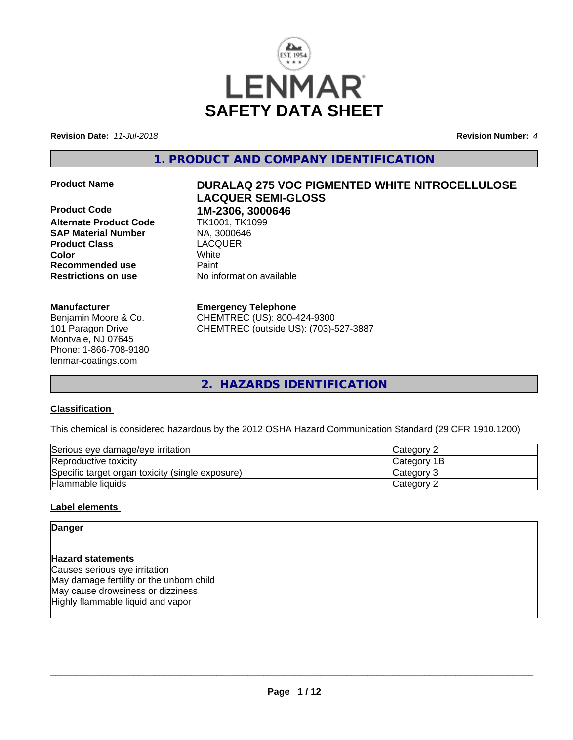

**Revision Date:** *11-Jul-2018* **Revision Number:** *4*

**1. PRODUCT AND COMPANY IDENTIFICATION**

**Product Code 1M-2306, 3000646**<br>**Alternate Product Code** TK1001, TK1099 **Alternate Product Code** TK1001, TK1<br> **SAP Material Number** NA, 3000646 **SAP Material Number Product Class** LACQUER **Color** White **Recommended use Faint Restrictions on use** No information available

#### **Manufacturer**

Benjamin Moore & Co. 101 Paragon Drive Montvale, NJ 07645 Phone: 1-866-708-9180 lenmar-coatings.com

# **Product Name DURALAQ 275 VOC PIGMENTED WHITE NITROCELLULOSE LACQUER SEMI-GLOSS**

### **Emergency Telephone**

CHEMTREC (US): 800-424-9300 CHEMTREC (outside US): (703)-527-3887

**2. HAZARDS IDENTIFICATION**

### **Classification**

This chemical is considered hazardous by the 2012 OSHA Hazard Communication Standard (29 CFR 1910.1200)

| Serious eye damage/eye irritation                | <b>ICategory 2</b> |
|--------------------------------------------------|--------------------|
| Reproductive toxicity                            | <b>Category 1B</b> |
| Specific target organ toxicity (single exposure) | Category 3         |
| Flammable liquids                                | Category 2         |

### **Label elements**

**Danger**

**Hazard statements** Causes serious eye irritation May damage fertility or the unborn child May cause drowsiness or dizziness Highly flammable liquid and vapor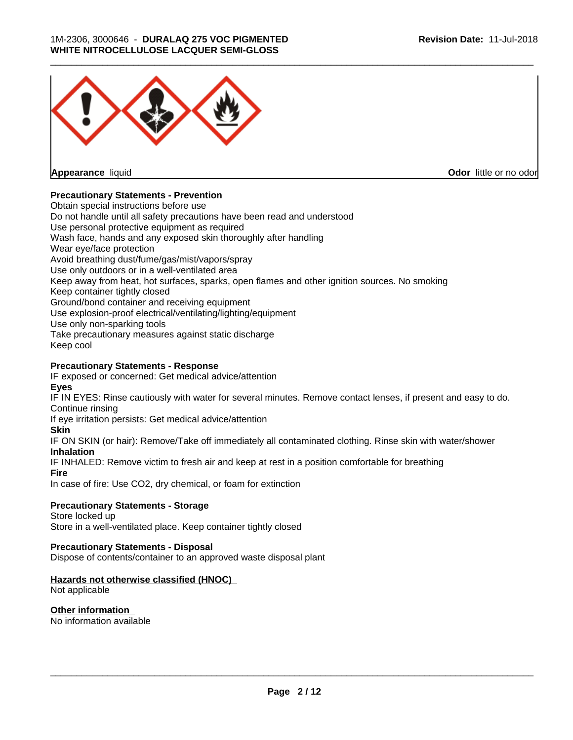

**Appearance** liquid

**Odor** little or no odor

### **Precautionary Statements - Prevention**

Obtain special instructions before use Do not handle until all safety precautions have been read and understood Use personal protective equipment as required Wash face, hands and any exposed skin thoroughly after handling Wear eye/face protection Avoid breathing dust/fume/gas/mist/vapors/spray Use only outdoors or in a well-ventilated area Keep away from heat, hot surfaces, sparks, open flames and other ignition sources. No smoking Keep container tightly closed Ground/bond container and receiving equipment Use explosion-proof electrical/ventilating/lighting/equipment Use only non-sparking tools Take precautionary measures against static discharge Keep cool

### **Precautionary Statements - Response**

IF exposed or concerned: Get medical advice/attention **Eyes**

IF IN EYES: Rinse cautiously with water for several minutes. Remove contact lenses, if present and easy to do. Continue rinsing

If eye irritation persists: Get medical advice/attention

#### **Skin**

IF ON SKIN (or hair): Remove/Take off immediately all contaminated clothing. Rinse skin with water/shower **Inhalation**

IF INHALED: Remove victim to fresh air and keep at rest in a position comfortable for breathing

**Fire**

In case of fire: Use CO2, dry chemical, or foam for extinction

### **Precautionary Statements - Storage**

Store locked up Store in a well-ventilated place. Keep container tightly closed

#### **Precautionary Statements - Disposal**

Dispose of contents/container to an approved waste disposal plant

### **Hazards not otherwise classified (HNOC)**

Not applicable

# **Other information**

No information available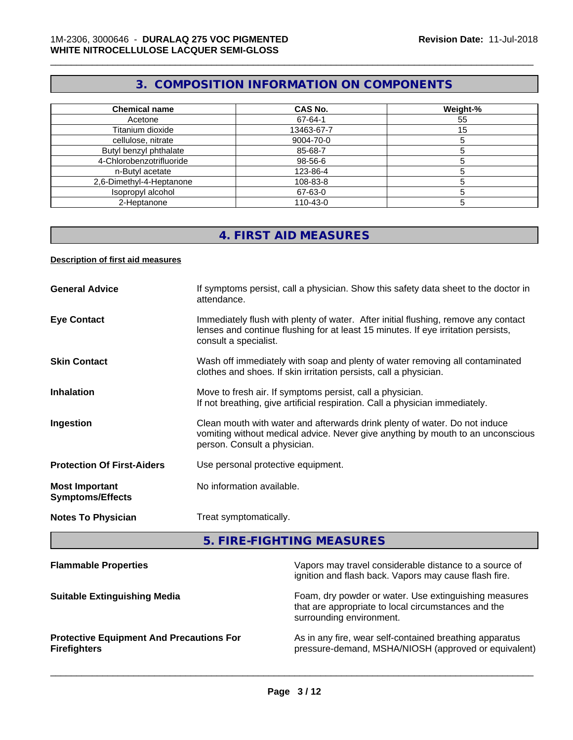# **3. COMPOSITION INFORMATION ON COMPONENTS**

\_\_\_\_\_\_\_\_\_\_\_\_\_\_\_\_\_\_\_\_\_\_\_\_\_\_\_\_\_\_\_\_\_\_\_\_\_\_\_\_\_\_\_\_\_\_\_\_\_\_\_\_\_\_\_\_\_\_\_\_\_\_\_\_\_\_\_\_\_\_\_\_\_\_\_\_\_\_\_\_\_\_\_\_\_\_\_\_\_\_\_\_\_

| <b>Chemical name</b>     | <b>CAS No.</b> | Weight-% |
|--------------------------|----------------|----------|
| Acetone                  | 67-64-1        | 55       |
| Titanium dioxide         | 13463-67-7     | 15       |
| cellulose, nitrate       | 9004-70-0      |          |
| Butyl benzyl phthalate   | 85-68-7        |          |
| 4-Chlorobenzotrifluoride | 98-56-6        |          |
| n-Butyl acetate          | 123-86-4       |          |
| 2,6-Dimethyl-4-Heptanone | 108-83-8       |          |
| Isopropyl alcohol        | 67-63-0        |          |
| 2-Heptanone              | 110-43-0       |          |

# **4. FIRST AID MEASURES**

#### **Description of first aid measures**

| <b>General Advice</b>                            | If symptoms persist, call a physician. Show this safety data sheet to the doctor in<br>attendance.                                                                                               |
|--------------------------------------------------|--------------------------------------------------------------------------------------------------------------------------------------------------------------------------------------------------|
| <b>Eye Contact</b>                               | Immediately flush with plenty of water. After initial flushing, remove any contact<br>lenses and continue flushing for at least 15 minutes. If eye irritation persists,<br>consult a specialist. |
| <b>Skin Contact</b>                              | Wash off immediately with soap and plenty of water removing all contaminated<br>clothes and shoes. If skin irritation persists, call a physician.                                                |
| <b>Inhalation</b>                                | Move to fresh air. If symptoms persist, call a physician.<br>If not breathing, give artificial respiration. Call a physician immediately.                                                        |
| Ingestion                                        | Clean mouth with water and afterwards drink plenty of water. Do not induce<br>vomiting without medical advice. Never give anything by mouth to an unconscious<br>person. Consult a physician.    |
| <b>Protection Of First-Aiders</b>                | Use personal protective equipment.                                                                                                                                                               |
| <b>Most Important</b><br><b>Symptoms/Effects</b> | No information available.                                                                                                                                                                        |
| <b>Notes To Physician</b>                        | Treat symptomatically.                                                                                                                                                                           |

**5. FIRE-FIGHTING MEASURES**

| Vapors may travel considerable distance to a source of<br>ignition and flash back. Vapors may cause flash fire.                          |
|------------------------------------------------------------------------------------------------------------------------------------------|
| Foam, dry powder or water. Use extinguishing measures<br>that are appropriate to local circumstances and the<br>surrounding environment. |
| As in any fire, wear self-contained breathing apparatus<br>pressure-demand, MSHA/NIOSH (approved or equivalent)                          |
|                                                                                                                                          |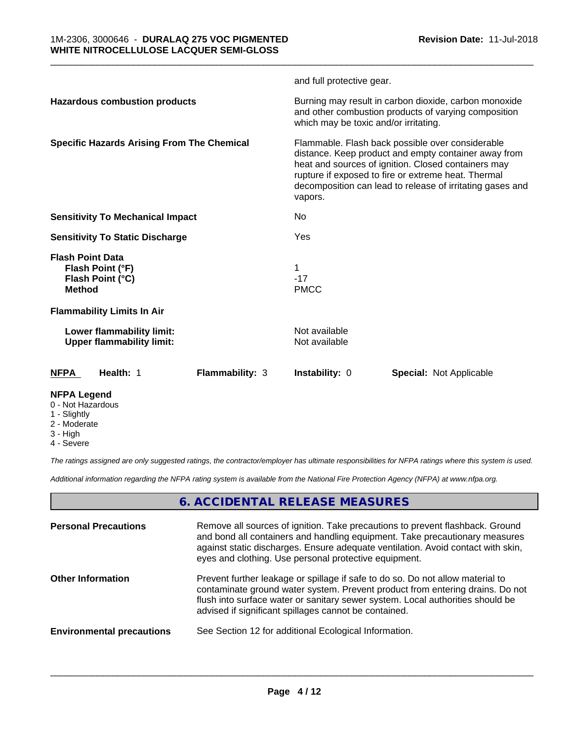|                                                                                  | and full protective gear.                                                                                                                                                                                                                                                                      |
|----------------------------------------------------------------------------------|------------------------------------------------------------------------------------------------------------------------------------------------------------------------------------------------------------------------------------------------------------------------------------------------|
| <b>Hazardous combustion products</b>                                             | Burning may result in carbon dioxide, carbon monoxide<br>and other combustion products of varying composition<br>which may be toxic and/or irritating.                                                                                                                                         |
| <b>Specific Hazards Arising From The Chemical</b>                                | Flammable. Flash back possible over considerable<br>distance. Keep product and empty container away from<br>heat and sources of ignition. Closed containers may<br>rupture if exposed to fire or extreme heat. Thermal<br>decomposition can lead to release of irritating gases and<br>vapors. |
| <b>Sensitivity To Mechanical Impact</b>                                          | No                                                                                                                                                                                                                                                                                             |
| <b>Sensitivity To Static Discharge</b>                                           | Yes                                                                                                                                                                                                                                                                                            |
| <b>Flash Point Data</b><br>Flash Point (°F)<br>Flash Point (°C)<br><b>Method</b> | $-17$<br><b>PMCC</b>                                                                                                                                                                                                                                                                           |
| <b>Flammability Limits In Air</b>                                                |                                                                                                                                                                                                                                                                                                |
| Lower flammability limit:<br><b>Upper flammability limit:</b>                    | Not available<br>Not available                                                                                                                                                                                                                                                                 |
| Health: 1<br><b>NFPA</b><br><b>Flammability: 3</b>                               | Instability: 0<br>Special: Not Applicable                                                                                                                                                                                                                                                      |
| <b>NFPA Legend</b><br>0 - Not Hazardous                                          |                                                                                                                                                                                                                                                                                                |

- 1 Slightly
- 2 Moderate
- 3 High
- 4 Severe

*The ratings assigned are only suggested ratings, the contractor/employer has ultimate responsibilities for NFPA ratings where this system is used.*

*Additional information regarding the NFPA rating system is available from the National Fire Protection Agency (NFPA) at www.nfpa.org.*

# **6. ACCIDENTAL RELEASE MEASURES**

| <b>Personal Precautions</b>      | Remove all sources of ignition. Take precautions to prevent flashback. Ground<br>and bond all containers and handling equipment. Take precautionary measures<br>against static discharges. Ensure adequate ventilation. Avoid contact with skin,<br>eyes and clothing. Use personal protective equipment.  |
|----------------------------------|------------------------------------------------------------------------------------------------------------------------------------------------------------------------------------------------------------------------------------------------------------------------------------------------------------|
| <b>Other Information</b>         | Prevent further leakage or spillage if safe to do so. Do not allow material to<br>contaminate ground water system. Prevent product from entering drains. Do not<br>flush into surface water or sanitary sewer system. Local authorities should be<br>advised if significant spillages cannot be contained. |
| <b>Environmental precautions</b> | See Section 12 for additional Ecological Information.                                                                                                                                                                                                                                                      |
|                                  |                                                                                                                                                                                                                                                                                                            |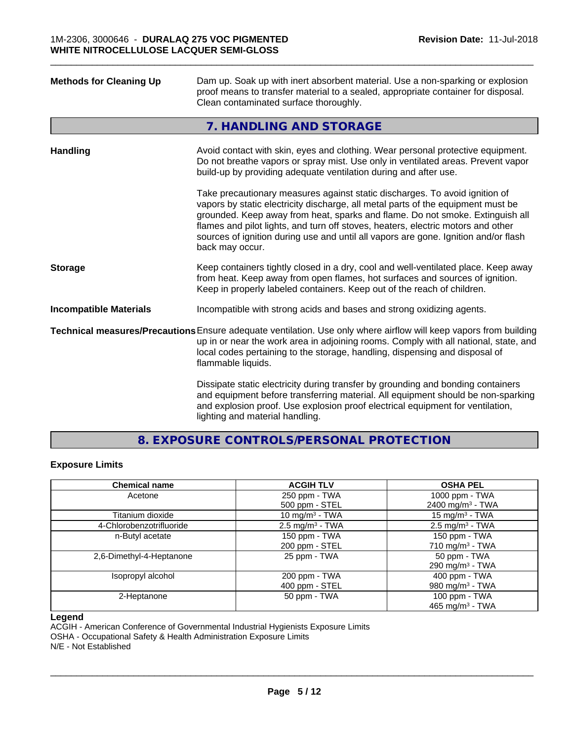| <b>Methods for Cleaning Up</b> | Dam up. Soak up with inert absorbent material. Use a non-sparking or explosion<br>proof means to transfer material to a sealed, appropriate container for disposal.<br>Clean contaminated surface thoroughly.                                                                                                                                                                                                                                  |
|--------------------------------|------------------------------------------------------------------------------------------------------------------------------------------------------------------------------------------------------------------------------------------------------------------------------------------------------------------------------------------------------------------------------------------------------------------------------------------------|
|                                | 7. HANDLING AND STORAGE                                                                                                                                                                                                                                                                                                                                                                                                                        |
| <b>Handling</b>                | Avoid contact with skin, eyes and clothing. Wear personal protective equipment.<br>Do not breathe vapors or spray mist. Use only in ventilated areas. Prevent vapor<br>build-up by providing adequate ventilation during and after use.                                                                                                                                                                                                        |
|                                | Take precautionary measures against static discharges. To avoid ignition of<br>vapors by static electricity discharge, all metal parts of the equipment must be<br>grounded. Keep away from heat, sparks and flame. Do not smoke. Extinguish all<br>flames and pilot lights, and turn off stoves, heaters, electric motors and other<br>sources of ignition during use and until all vapors are gone. Ignition and/or flash<br>back may occur. |
| <b>Storage</b>                 | Keep containers tightly closed in a dry, cool and well-ventilated place. Keep away<br>from heat. Keep away from open flames, hot surfaces and sources of ignition.<br>Keep in properly labeled containers. Keep out of the reach of children.                                                                                                                                                                                                  |
| <b>Incompatible Materials</b>  | Incompatible with strong acids and bases and strong oxidizing agents.                                                                                                                                                                                                                                                                                                                                                                          |
|                                | Technical measures/Precautions Ensure adequate ventilation. Use only where airflow will keep vapors from building<br>up in or near the work area in adjoining rooms. Comply with all national, state, and<br>local codes pertaining to the storage, handling, dispensing and disposal of<br>flammable liquids.                                                                                                                                 |
|                                | Dissipate static electricity during transfer by grounding and bonding containers<br>and equipment before transferring material. All equipment should be non-sparking<br>and explosion proof. Use explosion proof electrical equipment for ventilation,<br>lighting and material handling.                                                                                                                                                      |

**8. EXPOSURE CONTROLS/PERSONAL PROTECTION**

### **Exposure Limits**

| <b>Chemical name</b>     | <b>ACGIH TLV</b>           | <b>OSHA PEL</b>              |
|--------------------------|----------------------------|------------------------------|
| Acetone                  | 250 ppm - TWA              | 1000 ppm - TWA               |
|                          | 500 ppm - STEL             | 2400 mg/m <sup>3</sup> - TWA |
| Titanium dioxide         | 10 mg/m $3$ - TWA          | 15 mg/m $3$ - TWA            |
| 4-Chlorobenzotrifluoride | $2.5 \text{ mg/m}^3$ - TWA | $2.5 \text{ mg/m}^3$ - TWA   |
| n-Butyl acetate          | 150 ppm - TWA              | 150 ppm - TWA                |
|                          | 200 ppm - STEL             | 710 mg/m $3$ - TWA           |
| 2,6-Dimethyl-4-Heptanone | 25 ppm - TWA               | 50 ppm - TWA                 |
|                          |                            | 290 mg/m <sup>3</sup> - TWA  |
| Isopropyl alcohol        | 200 ppm - TWA              | 400 ppm - TWA                |
|                          | 400 ppm - STEL             | 980 mg/m <sup>3</sup> - TWA  |
| 2-Heptanone              | 50 ppm - TWA               | 100 ppm - TWA                |
|                          |                            | 465 mg/m <sup>3</sup> - TWA  |

# **Legend**

ACGIH - American Conference of Governmental Industrial Hygienists Exposure Limits

OSHA - Occupational Safety & Health Administration Exposure Limits

N/E - Not Established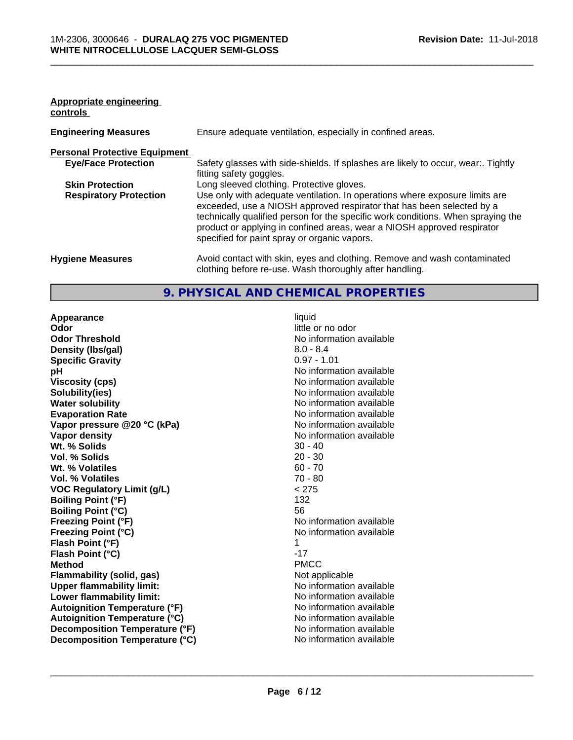#### **Appropriate engineering controls**

| <b>Engineering Measures</b>          | Ensure adequate ventilation, especially in confined areas.                                                                                                                                                                                                                                                                                                          |
|--------------------------------------|---------------------------------------------------------------------------------------------------------------------------------------------------------------------------------------------------------------------------------------------------------------------------------------------------------------------------------------------------------------------|
| <b>Personal Protective Equipment</b> |                                                                                                                                                                                                                                                                                                                                                                     |
| <b>Eye/Face Protection</b>           | Safety glasses with side-shields. If splashes are likely to occur, wear:. Tightly<br>fitting safety goggles.                                                                                                                                                                                                                                                        |
| <b>Skin Protection</b>               | Long sleeved clothing. Protective gloves.                                                                                                                                                                                                                                                                                                                           |
| <b>Respiratory Protection</b>        | Use only with adequate ventilation. In operations where exposure limits are<br>exceeded, use a NIOSH approved respirator that has been selected by a<br>technically qualified person for the specific work conditions. When spraying the<br>product or applying in confined areas, wear a NIOSH approved respirator<br>specified for paint spray or organic vapors. |
| <b>Hygiene Measures</b>              | Avoid contact with skin, eyes and clothing. Remove and wash contaminated<br>clothing before re-use. Wash thoroughly after handling.                                                                                                                                                                                                                                 |

# **9. PHYSICAL AND CHEMICAL PROPERTIES**

**Appearance** liquid **Odor Odor** little or no odor<br> **Odor Threshold Containery of the Containery of the Containery of the Containery of the Containery of the Containery of the Containery of the Containery of the Containery of the Container Density (Ibs/gal)** 8.0 - 8.4<br> **Specific Gravity** 8.0 - 8.4<br> **Specific Gravity Specific Gravity pH** No information available **Viscosity (cps)** No information available **Solubility(ies)** No information available in the solution of the solution of the solution available in the solution of the solution of the solution of the solution of the solution of the solution of the solution of the so **Water solubility** No information available **Evaporation Rate No information available No information available Vapor pressure @20 °C (kPa)** No information available **Vapor density No information available No information available Wt. % Solids** 30 - 40<br> **Vol. % Solids** 20 - 30 **Vol. % Solids** 20 - 30 **Wt. % Volatiles Vol. % Volatiles** 70 - 80 **VOC Regulatory Limit (g/L)** < 275 **Boiling Point (°F)** 132 **Boiling Point (°C) 56**<br>**Freezing Point (°F) N**o **Freezing Point (°C)** The Company of the Monometer of Noinformation available **Flash Point (°F)** 1 **Flash Point (°C)** -17 **Method** PMCC **Flammability (solid, gas)**<br> **Commability limit:**<br>
Under flammability limit:<br>
No information available **Upper flammability limit:**<br> **Lower flammability limit:** No information available<br>
No information available **Lower flammability limit: Autoignition Temperature (°F)**<br> **Autoignition Temperature (°C)**<br> **Autoignition Temperature (°C)**<br>
Mo information available **Autoignition Temperature (°C) Decomposition Temperature (°F)** No information available **Decomposition Temperature (°C)** No information available

**No information available Freezing Point (°F)** No information available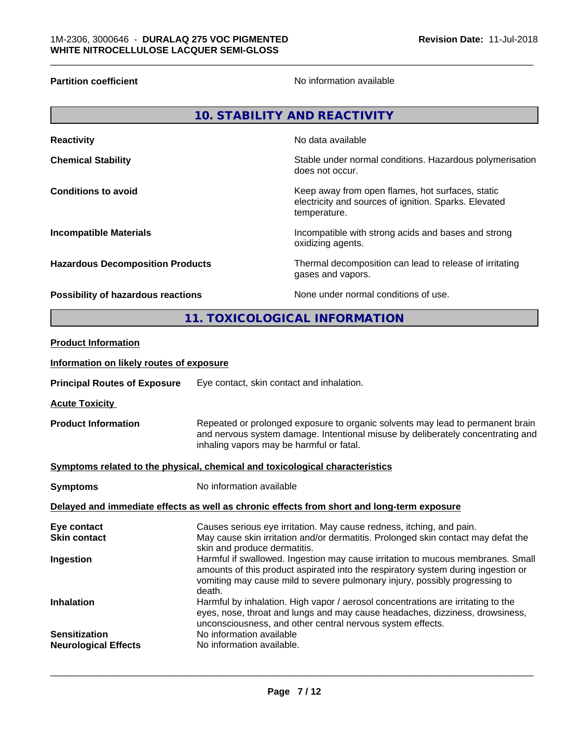**Partition coefficient**No information available

|                                                                              |                                                                                                                                                                                                               | <b>10. STABILITY AND REACTIVITY</b>                                                                                       |
|------------------------------------------------------------------------------|---------------------------------------------------------------------------------------------------------------------------------------------------------------------------------------------------------------|---------------------------------------------------------------------------------------------------------------------------|
| <b>Reactivity</b>                                                            |                                                                                                                                                                                                               | No data available                                                                                                         |
| <b>Chemical Stability</b>                                                    |                                                                                                                                                                                                               | Stable under normal conditions. Hazardous polymerisation<br>does not occur.                                               |
| <b>Conditions to avoid</b>                                                   |                                                                                                                                                                                                               | Keep away from open flames, hot surfaces, static<br>electricity and sources of ignition. Sparks. Elevated<br>temperature. |
| <b>Incompatible Materials</b>                                                |                                                                                                                                                                                                               | Incompatible with strong acids and bases and strong<br>oxidizing agents.                                                  |
| <b>Hazardous Decomposition Products</b>                                      |                                                                                                                                                                                                               | Thermal decomposition can lead to release of irritating<br>gases and vapors.                                              |
| Possibility of hazardous reactions                                           |                                                                                                                                                                                                               | None under normal conditions of use.                                                                                      |
|                                                                              |                                                                                                                                                                                                               | 11. TOXICOLOGICAL INFORMATION                                                                                             |
| <b>Product Information</b>                                                   |                                                                                                                                                                                                               |                                                                                                                           |
| Information on likely routes of exposure                                     |                                                                                                                                                                                                               |                                                                                                                           |
| <b>Principal Routes of Exposure</b>                                          | Eye contact, skin contact and inhalation.                                                                                                                                                                     |                                                                                                                           |
| <b>Acute Toxicity</b>                                                        |                                                                                                                                                                                                               |                                                                                                                           |
| <b>Product Information</b>                                                   | Repeated or prolonged exposure to organic solvents may lead to permanent brain<br>and nervous system damage. Intentional misuse by deliberately concentrating and<br>inhaling vapors may be harmful or fatal. |                                                                                                                           |
| Symptoms related to the physical, chemical and toxicological characteristics |                                                                                                                                                                                                               |                                                                                                                           |
| <b>Symptoms</b>                                                              | No information available                                                                                                                                                                                      |                                                                                                                           |
|                                                                              |                                                                                                                                                                                                               |                                                                                                                           |

**Delayed and immediate effects as well as chronic effects from short and long-term exposure**

| Causes serious eye irritation. May cause redness, itching, and pain.<br>Eye contact                                                                                                                                                                                        |
|----------------------------------------------------------------------------------------------------------------------------------------------------------------------------------------------------------------------------------------------------------------------------|
| May cause skin irritation and/or dermatitis. Prolonged skin contact may defat the<br><b>Skin contact</b><br>skin and produce dermatitis.                                                                                                                                   |
| Harmful if swallowed. Ingestion may cause irritation to mucous membranes. Small<br>Ingestion<br>amounts of this product aspirated into the respiratory system during ingestion or<br>vomiting may cause mild to severe pulmonary injury, possibly progressing to<br>death. |
| Harmful by inhalation. High vapor / aerosol concentrations are irritating to the<br><b>Inhalation</b><br>eyes, nose, throat and lungs and may cause headaches, dizziness, drowsiness,<br>unconsciousness, and other central nervous system effects.                        |
| No information available<br><b>Sensitization</b>                                                                                                                                                                                                                           |
| No information available.<br><b>Neurological Effects</b>                                                                                                                                                                                                                   |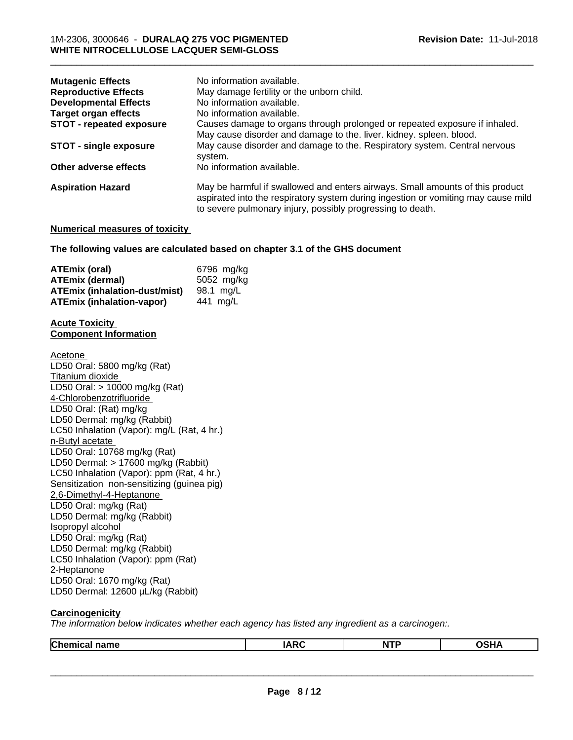| <b>Mutagenic Effects</b>        | No information available.                                                                                                                                                                                                        |
|---------------------------------|----------------------------------------------------------------------------------------------------------------------------------------------------------------------------------------------------------------------------------|
| <b>Reproductive Effects</b>     | May damage fertility or the unborn child.                                                                                                                                                                                        |
| <b>Developmental Effects</b>    | No information available.                                                                                                                                                                                                        |
| <b>Target organ effects</b>     | No information available.                                                                                                                                                                                                        |
| <b>STOT - repeated exposure</b> | Causes damage to organs through prolonged or repeated exposure if inhaled.                                                                                                                                                       |
|                                 | May cause disorder and damage to the. liver. kidney. spleen. blood.                                                                                                                                                              |
| STOT - single exposure          | May cause disorder and damage to the. Respiratory system. Central nervous<br>system.                                                                                                                                             |
| Other adverse effects           | No information available.                                                                                                                                                                                                        |
| <b>Aspiration Hazard</b>        | May be harmful if swallowed and enters airways. Small amounts of this product<br>aspirated into the respiratory system during ingestion or vomiting may cause mild<br>to severe pulmonary injury, possibly progressing to death. |

#### **Numerical measures of toxicity**

#### **The following values are calculated based on chapter 3.1 of the GHS document**

| ATEmix (oral)                        | 6796 mg/kg |
|--------------------------------------|------------|
| <b>ATEmix (dermal)</b>               | 5052 mg/kg |
| <b>ATEmix (inhalation-dust/mist)</b> | 98.1 ma/L  |
| <b>ATEmix (inhalation-vapor)</b>     | 441 ma/L   |

#### **Acute Toxicity Component Information**

Acetone LD50 Oral: 5800 mg/kg (Rat) Titanium dioxide LD50 Oral: > 10000 mg/kg (Rat) 4-Chlorobenzotrifluoride LD50 Oral: (Rat) mg/kg LD50 Dermal: mg/kg (Rabbit) LC50 Inhalation (Vapor): mg/L (Rat, 4 hr.) n-Butyl acetate LD50 Oral: 10768 mg/kg (Rat) LD50 Dermal: > 17600 mg/kg (Rabbit) LC50 Inhalation (Vapor): ppm (Rat, 4 hr.) Sensitization non-sensitizing (guinea pig) 2,6-Dimethyl-4-Heptanone LD50 Oral: mg/kg (Rat) LD50 Dermal: mg/kg (Rabbit) Isopropyl alcohol LD50 Oral: mg/kg (Rat) LD50 Dermal: mg/kg (Rabbit) LC50 Inhalation (Vapor): ppm (Rat) 2-Heptanone LD50 Oral: 1670 mg/kg (Rat) LD50 Dermal: 12600 µL/kg (Rabbit)

### **Carcinogenicity**

*The information below indicateswhether each agency has listed any ingredient as a carcinogen:.*

| <b>Chem</b><br>name<br>าเเ | $\overline{M}$<br>I A<br><b>INIV</b> | <b>NTF</b> | <br>''' |
|----------------------------|--------------------------------------|------------|---------|
|                            |                                      |            |         |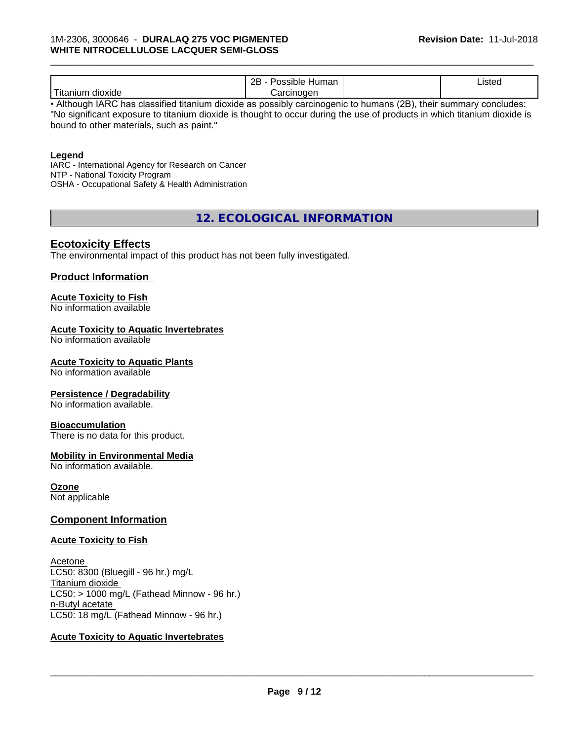|                             | റാ<br>Human<br>'DIE.<br>ᅩ | Listed |  |
|-----------------------------|---------------------------|--------|--|
| $- -$<br>dioxide<br>itaniur | rcinoaen<br>$\sim$        |        |  |

\_\_\_\_\_\_\_\_\_\_\_\_\_\_\_\_\_\_\_\_\_\_\_\_\_\_\_\_\_\_\_\_\_\_\_\_\_\_\_\_\_\_\_\_\_\_\_\_\_\_\_\_\_\_\_\_\_\_\_\_\_\_\_\_\_\_\_\_\_\_\_\_\_\_\_\_\_\_\_\_\_\_\_\_\_\_\_\_\_\_\_\_\_

• Although IARC has classified titanium dioxide as possibly carcinogenic to humans (2B), their summary concludes: "No significant exposure to titanium dioxide is thought to occur during the use of products in which titanium dioxide is bound to other materials, such as paint."

#### **Legend**

IARC - International Agency for Research on Cancer NTP - National Toxicity Program OSHA - Occupational Safety & Health Administration

**12. ECOLOGICAL INFORMATION**

### **Ecotoxicity Effects**

The environmental impact of this product has not been fully investigated.

#### **Product Information**

# **Acute Toxicity to Fish**

No information available

#### **Acute Toxicity to Aquatic Invertebrates**

No information available

#### **Acute Toxicity to Aquatic Plants**

No information available

#### **Persistence / Degradability**

No information available.

#### **Bioaccumulation**

There is no data for this product.

#### **Mobility in Environmental Media**

No information available.

#### **Ozone**

Not applicable

#### **Component Information**

#### **Acute Toxicity to Fish**

Acetone LC50: 8300 (Bluegill - 96 hr.) mg/L Titanium dioxide  $LC50:$  > 1000 mg/L (Fathead Minnow - 96 hr.) n-Butyl acetate LC50: 18 mg/L (Fathead Minnow - 96 hr.)

# **Acute Toxicity to Aquatic Invertebrates**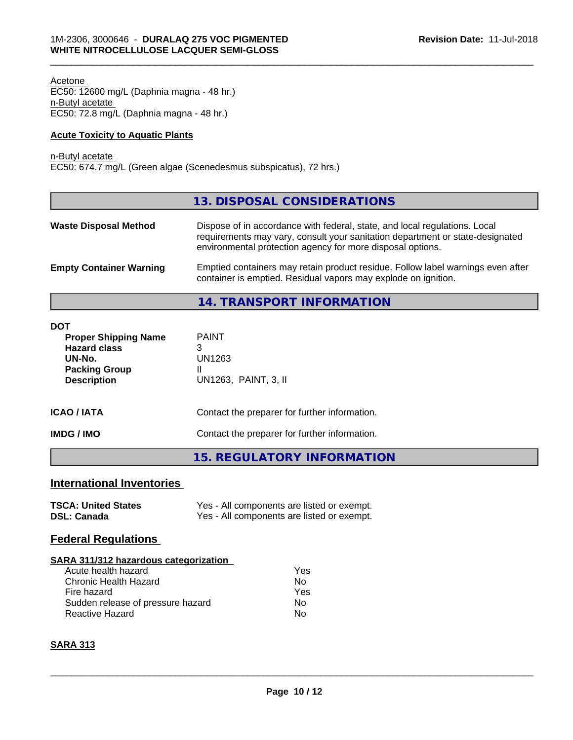Acetone EC50: 12600 mg/L (Daphnia magna - 48 hr.) n-Butyl acetate EC50: 72.8 mg/L (Daphnia magna - 48 hr.)

#### **Acute Toxicity to Aquatic Plants**

n-Butyl acetate EC50: 674.7 mg/L (Green algae (Scenedesmus subspicatus), 72 hrs.)

|                                | 13. DISPOSAL CONSIDERATIONS                                                                                                                                                                                               |
|--------------------------------|---------------------------------------------------------------------------------------------------------------------------------------------------------------------------------------------------------------------------|
| <b>Waste Disposal Method</b>   | Dispose of in accordance with federal, state, and local regulations. Local<br>requirements may vary, consult your sanitation department or state-designated<br>environmental protection agency for more disposal options. |
| <b>Empty Container Warning</b> | Emptied containers may retain product residue. Follow label warnings even after<br>container is emptied. Residual vapors may explode on ignition.                                                                         |
|                                | 14. TRANSPORT INFORMATION                                                                                                                                                                                                 |

\_\_\_\_\_\_\_\_\_\_\_\_\_\_\_\_\_\_\_\_\_\_\_\_\_\_\_\_\_\_\_\_\_\_\_\_\_\_\_\_\_\_\_\_\_\_\_\_\_\_\_\_\_\_\_\_\_\_\_\_\_\_\_\_\_\_\_\_\_\_\_\_\_\_\_\_\_\_\_\_\_\_\_\_\_\_\_\_\_\_\_\_\_

**DOT Proper Shipping Name** PAINT **Hazard class** 3 **UN-No.** UN1263 **Packing Group 11<br>Description 11 U Description** UN1263, PAINT, 3, II **ICAO / IATA** Contact the preparer for further information. **IMDG / IMO** Contact the preparer for further information. **15. REGULATORY INFORMATION**

# **International Inventories**

| <b>TSCA: United States</b> | Yes - All components are listed or exempt. |
|----------------------------|--------------------------------------------|
| <b>DSL: Canada</b>         | Yes - All components are listed or exempt. |

# **Federal Regulations**

#### **SARA 311/312 hazardous categorization**

| Acute health hazard               | Yes |
|-----------------------------------|-----|
| Chronic Health Hazard             | Nο  |
| Fire hazard                       | Yes |
| Sudden release of pressure hazard | Nο  |
| <b>Reactive Hazard</b>            | N٥  |

# **SARA 313**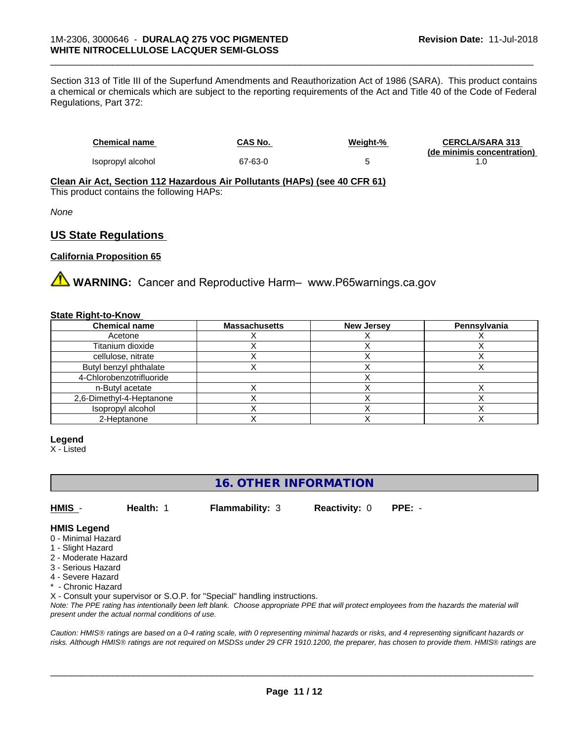Section 313 of Title III of the Superfund Amendments and Reauthorization Act of 1986 (SARA). This product contains a chemical or chemicals which are subject to the reporting requirements of the Act and Title 40 of the Code of Federal Regulations, Part 372:

| Chemical name     | CAS No. | Weight-% | <b>CERCLA/SARA 313</b>     |
|-------------------|---------|----------|----------------------------|
|                   |         |          | (de minimis concentration) |
| Isopropyl alcohol | 67-63-0 |          |                            |

\_\_\_\_\_\_\_\_\_\_\_\_\_\_\_\_\_\_\_\_\_\_\_\_\_\_\_\_\_\_\_\_\_\_\_\_\_\_\_\_\_\_\_\_\_\_\_\_\_\_\_\_\_\_\_\_\_\_\_\_\_\_\_\_\_\_\_\_\_\_\_\_\_\_\_\_\_\_\_\_\_\_\_\_\_\_\_\_\_\_\_\_\_

**Clean Air Act,Section 112 Hazardous Air Pollutants (HAPs) (see 40 CFR 61)**

This product contains the following HAPs:

*None*

# **US State Regulations**

#### **California Proposition 65**

**A WARNING:** Cancer and Reproductive Harm– www.P65warnings.ca.gov

#### **State Right-to-Know**

| <b>Chemical name</b>     | <b>Massachusetts</b> | <b>New Jersey</b> | <b>Pennsylvania</b> |
|--------------------------|----------------------|-------------------|---------------------|
| Acetone                  |                      |                   |                     |
| Titanium dioxide         |                      |                   |                     |
| cellulose, nitrate       |                      |                   |                     |
| Butyl benzyl phthalate   |                      |                   |                     |
| 4-Chlorobenzotrifluoride |                      |                   |                     |
| n-Butyl acetate          |                      |                   |                     |
| 2,6-Dimethyl-4-Heptanone |                      |                   |                     |
| Isopropyl alcohol        |                      |                   |                     |
| 2-Heptanone              |                      |                   |                     |

#### **Legend**

X - Listed

# **16. OTHER INFORMATION**

**HMIS** - **Health:** 1 **Flammability:** 3 **Reactivity:** 0 **PPE:** -

#### **HMIS Legend**

- 0 Minimal Hazard
- 1 Slight Hazard
- 2 Moderate Hazard
- 3 Serious Hazard
- 4 Severe Hazard
- \* Chronic Hazard

X - Consult your supervisor or S.O.P. for "Special" handling instructions.

*Note: The PPE rating has intentionally been left blank. Choose appropriate PPE that will protect employees from the hazards the material will present under the actual normal conditions of use.*

*Caution: HMISÒ ratings are based on a 0-4 rating scale, with 0 representing minimal hazards or risks, and 4 representing significant hazards or risks. Although HMISÒ ratings are not required on MSDSs under 29 CFR 1910.1200, the preparer, has chosen to provide them. HMISÒ ratings are*